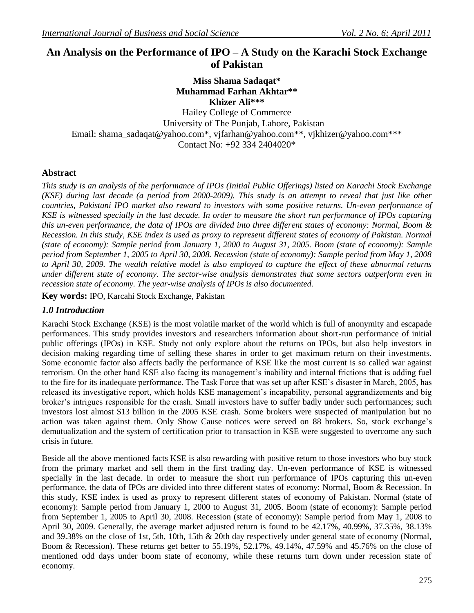# **An Analysis on the Performance of IPO – A Study on the Karachi Stock Exchange of Pakistan**

## **Miss Shama Sadaqat\* Muhammad Farhan Akhtar\*\* Khizer Ali\*\*\***

Hailey College of Commerce University of The Punjab, Lahore, Pakistan Email: [shama\\_sadaqat@yahoo.com\\*](mailto:shama_sadaqat@yahoo.com), [vjfarhan@yahoo.com\\*](mailto:vjfarhan@yahoo.com)\*, [vjkhizer@yahoo.com\\*](mailto:vjkhizer@yahoo.com)\*\* Contact No: +92 334 2404020\*

### **Abstract**

*This study is an analysis of the performance of IPOs (Initial Public Offerings) listed on Karachi Stock Exchange (KSE) during last decade (a period from 2000-2009). This study is an attempt to reveal that just like other countries, Pakistani IPO market also reward to investors with some positive returns. Un-even performance of KSE is witnessed specially in the last decade. In order to measure the short run performance of IPOs capturing this un-even performance, the data of IPOs are divided into three different states of economy: Normal, Boom & Recession. In this study, KSE index is used as proxy to represent different states of economy of Pakistan. Normal (state of economy): Sample period from January 1, 2000 to August 31, 2005. Boom (state of economy): Sample period from September 1, 2005 to April 30, 2008. Recession (state of economy): Sample period from May 1, 2008 to April 30, 2009. The wealth relative model is also employed to capture the effect of these abnormal returns under different state of economy. The sector-wise analysis demonstrates that some sectors outperform even in recession state of economy. The year-wise analysis of IPOs is also documented.* 

**Key words:** IPO, Karcahi Stock Exchange, Pakistan

### *1.0 Introduction*

Karachi Stock Exchange (KSE) is the most volatile market of the world which is full of anonymity and escapade performances. This study provides investors and researchers information about short-run performance of initial public offerings (IPOs) in KSE. Study not only explore about the returns on IPOs, but also help investors in decision making regarding time of selling these shares in order to get maximum return on their investments. Some economic factor also affects badly the performance of KSE like the most current is so called war against terrorism. On the other hand KSE also facing its management's inability and internal frictions that is adding fuel to the fire for its inadequate performance. The Task Force that was set up after KSE"s disaster in March, 2005, has released its investigative report, which holds KSE management"s incapability, personal aggrandizements and big broker"s intrigues responsible for the crash. Small investors have to suffer badly under such performances; such investors lost almost \$13 billion in the 2005 KSE crash. Some brokers were suspected of manipulation but no action was taken against them. Only Show Cause notices were served on 88 brokers. So, stock exchange"s demutualization and the system of certification prior to transaction in KSE were suggested to overcome any such crisis in future.

Beside all the above mentioned facts KSE is also rewarding with positive return to those investors who buy stock from the primary market and sell them in the first trading day. Un-even performance of KSE is witnessed specially in the last decade. In order to measure the short run performance of IPOs capturing this un-even performance, the data of IPOs are divided into three different states of economy: Normal, Boom & Recession. In this study, KSE index is used as proxy to represent different states of economy of Pakistan. Normal (state of economy): Sample period from January 1, 2000 to August 31, 2005. Boom (state of economy): Sample period from September 1, 2005 to April 30, 2008. Recession (state of economy): Sample period from May 1, 2008 to April 30, 2009. Generally, the average market adjusted return is found to be 42.17%, 40.99%, 37.35%, 38.13% and 39.38% on the close of 1st, 5th, 10th, 15th & 20th day respectively under general state of economy (Normal, Boom & Recession). These returns get better to 55.19%, 52.17%, 49.14%, 47.59% and 45.76% on the close of mentioned odd days under boom state of economy, while these returns turn down under recession state of economy.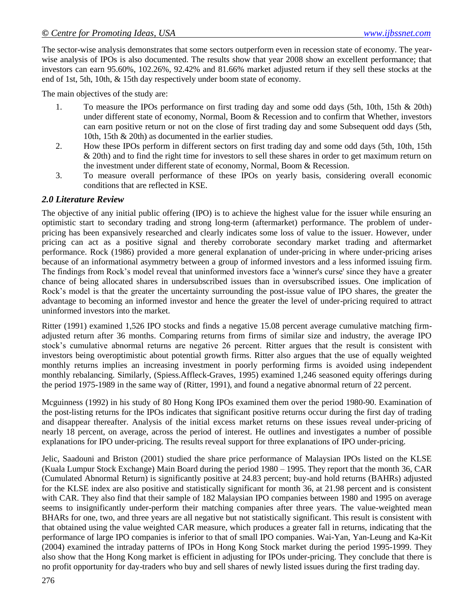The sector-wise analysis demonstrates that some sectors outperform even in recession state of economy. The yearwise analysis of IPOs is also documented. The results show that year 2008 show an excellent performance; that investors can earn 95.60%, 102.26%, 92.42% and 81.66% market adjusted return if they sell these stocks at the end of 1st, 5th, 10th, & 15th day respectively under boom state of economy.

The main objectives of the study are:

- 1. To measure the IPOs performance on first trading day and some odd days (5th, 10th, 15th & 20th) under different state of economy, Normal, Boom & Recession and to confirm that Whether, investors can earn positive return or not on the close of first trading day and some Subsequent odd days (5th, 10th, 15th & 20th) as documented in the earlier studies.
- 2. How these IPOs perform in different sectors on first trading day and some odd days (5th, 10th, 15th & 20th) and to find the right time for investors to sell these shares in order to get maximum return on the investment under different state of economy, Normal, Boom & Recession.
- 3. To measure overall performance of these IPOs on yearly basis, considering overall economic conditions that are reflected in KSE.

#### *2.0 Literature Review*

The objective of any initial public offering (IPO) is to achieve the highest value for the issuer while ensuring an optimistic start to secondary trading and strong long-term (aftermarket) performance. The problem of underpricing has been expansively researched and clearly indicates some loss of value to the issuer. However, under pricing can act as a positive signal and thereby corroborate secondary market trading and aftermarket performance. Rock (1986) provided a more general explanation of under-pricing in where under-pricing arises because of an informational asymmetry between a group of informed investors and a less informed issuing firm. The findings from Rock"s model reveal that uninformed investors face a 'winner's curse' since they have a greater chance of being allocated shares in undersubscribed issues than in oversubscribed issues. One implication of Rock's model is that the greater the uncertainty surrounding the post-issue value of IPO shares, the greater the advantage to becoming an informed investor and hence the greater the level of under-pricing required to attract uninformed investors into the market.

Ritter (1991) examined 1,526 IPO stocks and finds a negative 15.08 percent average cumulative matching firmadjusted return after 36 months. Comparing returns from firms of similar size and industry, the average IPO stock"s cumulative abnormal returns are negative 26 percent. Ritter argues that the result is consistent with investors being overoptimistic about potential growth firms. Ritter also argues that the use of equally weighted monthly returns implies an increasing investment in poorly performing firms is avoided using independent monthly rebalancing. Similarly, (Spiess.Affleck-Graves, 1995) examined 1,246 seasoned equity offerings during the period 1975-1989 in the same way of (Ritter, 1991), and found a negative abnormal return of 22 percent.

Mcguinness (1992) in his study of 80 Hong Kong IPOs examined them over the period 1980-90. Examination of the post-listing returns for the IPOs indicates that significant positive returns occur during the first day of trading and disappear thereafter. Analysis of the initial excess market returns on these issues reveal under-pricing of nearly 18 percent, on average, across the period of interest. He outlines and investigates a number of possible explanations for IPO under-pricing. The results reveal support for three explanations of IPO under-pricing.

Jelic, Saadouni and Briston (2001) studied the share price performance of Malaysian IPOs listed on the KLSE (Kuala Lumpur Stock Exchange) Main Board during the period 1980 – 1995. They report that the month 36, CAR (Cumulated Abnormal Return) is significantly positive at 24.83 percent; buy-and hold returns (BAHRs) adjusted for the KLSE index are also positive and statistically significant for month 36, at 21.98 percent and is consistent with CAR. They also find that their sample of 182 Malaysian IPO companies between 1980 and 1995 on average seems to insignificantly under-perform their matching companies after three years. The value-weighted mean BHARs for one, two, and three years are all negative but not statistically significant. This result is consistent with that obtained using the value weighted CAR measure, which produces a greater fall in returns, indicating that the performance of large IPO companies is inferior to that of small IPO companies. Wai-Yan, Yan-Leung and Ka-Kit (2004) examined the intraday patterns of IPOs in Hong Kong Stock market during the period 1995-1999. They also show that the Hong Kong market is efficient in adjusting for IPOs under-pricing. They conclude that there is no profit opportunity for day-traders who buy and sell shares of newly listed issues during the first trading day.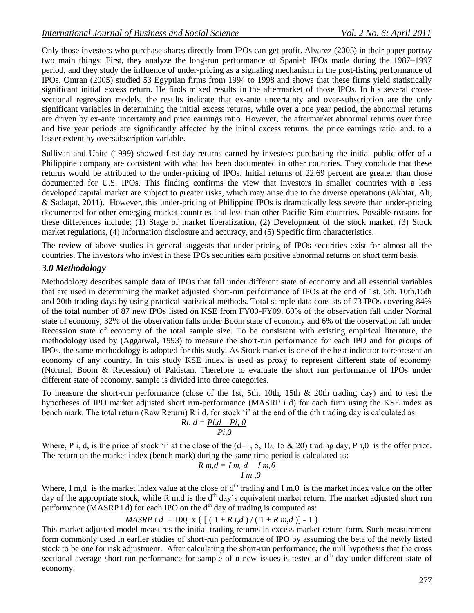Only those investors who purchase shares directly from IPOs can get profit. Alvarez (2005) in their paper portray two main things: First, they analyze the long-run performance of Spanish IPOs made during the 1987–1997 period, and they study the influence of under-pricing as a signaling mechanism in the post-listing performance of IPOs. Omran (2005) studied 53 Egyptian firms from 1994 to 1998 and shows that these firms yield statistically significant initial excess return. He finds mixed results in the aftermarket of those IPOs. In his several crosssectional regression models, the results indicate that ex-ante uncertainty and over-subscription are the only significant variables in determining the initial excess returns, while over a one year period, the abnormal returns are driven by ex-ante uncertainty and price earnings ratio. However, the aftermarket abnormal returns over three and five year periods are significantly affected by the initial excess returns, the price earnings ratio, and, to a lesser extent by oversubscription variable.

Sullivan and Unite (1999) showed first-day returns earned by investors purchasing the initial public offer of a Philippine company are consistent with what has been documented in other countries. They conclude that these returns would be attributed to the under-pricing of IPOs. Initial returns of 22.69 percent are greater than those documented for U.S. IPOs. This finding confirms the view that investors in smaller countries with a less developed capital market are subject to greater risks, which may arise due to the diverse operations (Akhtar, Ali, & Sadaqat, 2011). However, this under-pricing of Philippine IPOs is dramatically less severe than under-pricing documented for other emerging market countries and less than other Pacific-Rim countries. Possible reasons for these differences include: (1) Stage of market liberalization, (2) Development of the stock market, (3) Stock market regulations, (4) Information disclosure and accuracy, and (5) Specific firm characteristics.

The review of above studies in general suggests that under-pricing of IPOs securities exist for almost all the countries. The investors who invest in these IPOs securities earn positive abnormal returns on short term basis.

## *3.0 Methodology*

Methodology describes sample data of IPOs that fall under different state of economy and all essential variables that are used in determining the market adjusted short-run performance of IPOs at the end of 1st, 5th, 10th,15th and 20th trading days by using practical statistical methods. Total sample data consists of 73 IPOs covering 84% of the total number of 87 new IPOs listed on KSE from FY00-FY09. 60% of the observation fall under Normal state of economy, 32% of the observation falls under Boom state of economy and 6% of the observation fall under Recession state of economy of the total sample size. To be consistent with existing empirical literature, the methodology used by (Aggarwal, 1993) to measure the short-run performance for each IPO and for groups of IPOs, the same methodology is adopted for this study. As Stock market is one of the best indicator to represent an economy of any country. In this study KSE index is used as proxy to represent different state of economy (Normal, Boom & Recession) of Pakistan. Therefore to evaluate the short run performance of IPOs under different state of economy, sample is divided into three categories.

To measure the short-run performance (close of the 1st, 5th, 10th, 15th & 20th trading day) and to test the hypotheses of IPO market adjusted short run-performance (MASRP i d) for each firm using the KSE index as bench mark. The total return (Raw Return) R i d, for stock 'i' at the end of the dth trading day is calculated as:

$$
Ri, d = \frac{Pi, d - Pi, 0}{Pi, 0}
$$

Where, P i, d, is the price of stock 'i' at the close of the  $(d=1, 5, 10, 15 \& 20)$  trading day, P i,0 is the offer price. The return on the market index (bench mark) during the same time period is calculated as:

$$
R m, \overline{d} = \underline{I m, d - I m, 0}
$$
  

$$
\overline{I m, 0}
$$

Where, I m,d is the market index value at the close of  $d<sup>th</sup>$  trading and I m,0 is the market index value on the offer day of the appropriate stock, while R m,d is the d<sup>th</sup> day's equivalent market return. The market adjusted short run performance (MASRP i d) for each IPO on the  $d<sup>th</sup>$  day of trading is computed as:

$$
MASRP \; i \; d = 100 \; x \; \{ \; [\; (\; 1 + R \; i, d \; ) \; / \; (\; 1 + R \; m, d \; )] - 1 \; \}
$$

This market adjusted model measures the initial trading returns in excess market return form. Such measurement form commonly used in earlier studies of short-run performance of IPO by assuming the beta of the newly listed stock to be one for risk adjustment. After calculating the short-run performance, the null hypothesis that the cross sectional average short-run performance for sample of n new issues is tested at d<sup>th</sup> day under different state of economy.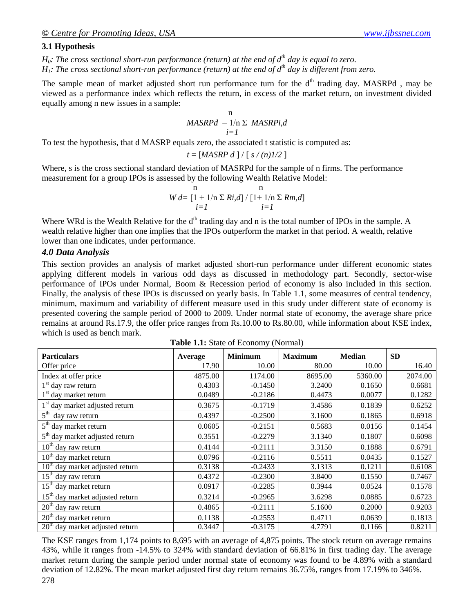#### **3.1 Hypothesis**

 $H_0$ *: The cross sectional short-run performance (return) at the end of*  $d^h$  *day is equal to zero.*  $H_1$ : The cross sectional short-run performance (return) at the end of  $d^{th}$  day is different from zero.

The sample mean of market adjusted short run performance turn for the d<sup>th</sup> trading day. MASRPd, may be viewed as a performance index which reflects the return, in excess of the market return, on investment divided equally among n new issues in a sample:

$$
\begin{array}{c}\n\text{n} \\
\text{MASKPd} = 1/\text{n} \Sigma \text{ MASRPi,d} \\
i = I\n\end{array}
$$

To test the hypothesis, that d MASRP equals zero, the associated t statistic is computed as:

$$
t = [MASRP\ d\ ] / [s/(n)1/2]
$$

Where, s is the cross sectional standard deviation of MASRPd for the sample of n firms. The performance measurement for a group IPOs is assessed by the following Wealth Relative Model:

$$
W d = \left[1 + 1/n \sum Ri, d\right] / \left[1 + 1/n \sum Rm, d\right]
$$
  
  $i = 1$ 

Where WRd is the Wealth Relative for the  $d<sup>th</sup>$  trading day and n is the total number of IPOs in the sample. A wealth relative higher than one implies that the IPOs outperform the market in that period. A wealth, relative lower than one indicates, under performance.

#### *4.0 Data Analysis*

This section provides an analysis of market adjusted short-run performance under different economic states applying different models in various odd days as discussed in methodology part. Secondly, sector-wise performance of IPOs under Normal, Boom & Recession period of economy is also included in this section. Finally, the analysis of these IPOs is discussed on yearly basis. In Table 1.1, some measures of central tendency, minimum, maximum and variability of different measure used in this study under different state of economy is presented covering the sample period of 2000 to 2009. Under normal state of economy, the average share price remains at around Rs.17.9, the offer price ranges from Rs.10.00 to Rs.80.00, while information about KSE index, which is used as bench mark.

**Table 1.1:** State of Economy (Normal)

| <b>Particulars</b>                              | Average | <b>Minimum</b> | <b>Maximum</b> | <b>Median</b> | <b>SD</b> |
|-------------------------------------------------|---------|----------------|----------------|---------------|-----------|
| Offer price                                     | 17.90   | 10.00          | 80.00          | 10.00         | 16.40     |
| Index at offer price                            | 4875.00 | 1174.00        | 8695.00        | 5360.00       | 2074.00   |
| $1st$ day raw return                            | 0.4303  | $-0.1450$      | 3.2400         | 0.1650        | 0.6681    |
| 1 <sup>st</sup> day market return               | 0.0489  | $-0.2186$      | 0.4473         | 0.0077        | 0.1282    |
| 1 <sup>st</sup> day market adjusted return      | 0.3675  | $-0.1719$      | 3.4586         | 0.1839        | 0.6252    |
| $5^{\text{th}}$<br>day raw return               | 0.4397  | $-0.2500$      | 3.1600         | 0.1865        | 0.6918    |
| $5th$ day market return                         | 0.0605  | $-0.2151$      | 0.5683         | 0.0156        | 0.1454    |
| 5 <sup>th</sup> day market adjusted return      | 0.3551  | $-0.2279$      | 3.1340         | 0.1807        | 0.6098    |
| $10th$ day raw return                           | 0.4144  | $-0.2111$      | 3.3150         | 0.1888        | 0.6791    |
| $10th$ day market return                        | 0.0796  | $-0.2116$      | 0.5511         | 0.0435        | 0.1527    |
| $\overline{10^{th}}$ day market adjusted return | 0.3138  | $-0.2433$      | 3.1313         | 0.1211        | 0.6108    |
| 15 <sup>th</sup> day raw return                 | 0.4372  | $-0.2300$      | 3.8400         | 0.1550        | 0.7467    |
| 15 <sup>th</sup> day market return              | 0.0917  | $-0.2285$      | 0.3944         | 0.0524        | 0.1578    |
| 15 <sup>th</sup> day market adjusted return     | 0.3214  | $-0.2965$      | 3.6298         | 0.0885        | 0.6723    |
| $20th$ day raw return                           | 0.4865  | $-0.2111$      | 5.1600         | 0.2000        | 0.9203    |
| $20th$ day market return                        | 0.1138  | $-0.2553$      | 0.4711         | 0.0639        | 0.1813    |
| $20th$ day market adjusted return               | 0.3447  | $-0.3175$      | 4.7791         | 0.1166        | 0.8211    |

The KSE ranges from 1,174 points to 8,695 with an average of 4,875 points. The stock return on average remains 43%, while it ranges from -14.5% to 324% with standard deviation of 66.81% in first trading day. The average market return during the sample period under normal state of economy was found to be 4.89% with a standard deviation of 12.82%. The mean market adjusted first day return remains 36.75%, ranges from 17.19% to 346%.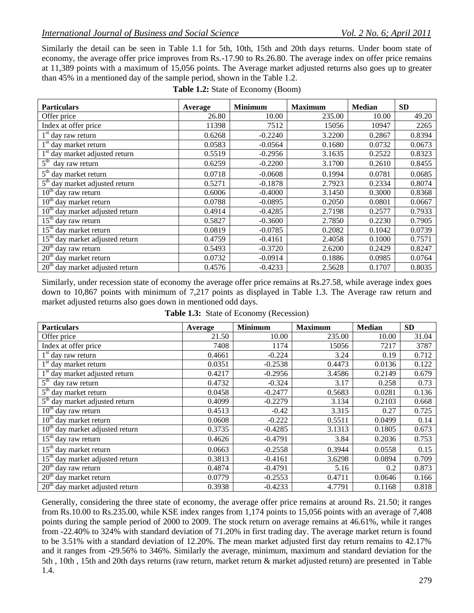Similarly the detail can be seen in Table 1.1 for 5th, 10th, 15th and 20th days returns. Under boom state of economy, the average offer price improves from Rs.-17.90 to Rs.26.80. The average index on offer price remains at 11,389 points with a maximum of 15,056 points. The Average market adjusted returns also goes up to greater than 45% in a mentioned day of the sample period, shown in the Table 1.2.

| <b>Particulars</b>                             | Average | <b>Minimum</b> | <b>Maximum</b> | <b>Median</b> | <b>SD</b> |
|------------------------------------------------|---------|----------------|----------------|---------------|-----------|
| Offer price                                    | 26.80   | 10.00          | 235.00         | 10.00         | 49.20     |
| Index at offer price                           | 11398   | 7512           | 15056          | 10947         | 2265      |
| $1st$ day raw return                           | 0.6268  | $-0.2240$      | 3.2200         | 0.2867        | 0.8394    |
| 1 <sup>st</sup> day market return              | 0.0583  | $-0.0564$      | 0.1680         | 0.0732        | 0.0673    |
| 1 <sup>st</sup> day market adjusted return     | 0.5519  | $-0.2956$      | 3.1635         | 0.2522        | 0.8323    |
| $5^{\text{th}}$<br>day raw return              | 0.6259  | $-0.2200$      | 3.1700         | 0.2610        | 0.8455    |
| $5th$ day market return                        | 0.0718  | $-0.0608$      | 0.1994         | 0.0781        | 0.0685    |
| $\overline{5^{th}}$ day market adjusted return | 0.5271  | $-0.1878$      | 2.7923         | 0.2334        | 0.8074    |
| $10th$ day raw return                          | 0.6006  | $-0.4000$      | 3.1450         | 0.3000        | 0.8368    |
| $10th$ day market return                       | 0.0788  | $-0.0895$      | 0.2050         | 0.0801        | 0.0667    |
| $10th$ day market adjusted return              | 0.4914  | $-0.4285$      | 2.7198         | 0.2577        | 0.7933    |
| $15th$ day raw return                          | 0.5827  | $-0.3600$      | 2.7850         | 0.2230        | 0.7905    |
| 15 <sup>th</sup> day market return             | 0.0819  | $-0.0785$      | 0.2082         | 0.1042        | 0.0739    |
| $15th$ day market adjusted return              | 0.4759  | $-0.4161$      | 2.4058         | 0.1000        | 0.7571    |
| $20th$ day raw return                          | 0.5493  | $-0.3720$      | 2.6200         | 0.2429        | 0.8247    |
| $20th$ day market return                       | 0.0732  | $-0.0914$      | 0.1886         | 0.0985        | 0.0764    |
| $20th$ day market adjusted return              | 0.4576  | $-0.4233$      | 2.5628         | 0.1707        | 0.8035    |

Similarly, under recession state of economy the average offer price remains at Rs.27.58, while average index goes down to 10,867 points with minimum of 7,217 points as displayed in Table 1.3. The Average raw return and market adjusted returns also goes down in mentioned odd days.

| <b>Particulars</b>                          | Average | <b>Minimum</b> | <b>Maximum</b> | <b>Median</b> | <b>SD</b> |
|---------------------------------------------|---------|----------------|----------------|---------------|-----------|
| Offer price                                 | 21.50   | 10.00          | 235.00         | 10.00         | 31.04     |
| Index at offer price                        | 7408    | 1174           | 15056          | 7217          | 3787      |
| $1st$ day raw return                        | 0.4661  | $-0.224$       | 3.24           | 0.19          | 0.712     |
| 1 <sup>st</sup> day market return           | 0.0351  | $-0.2538$      | 0.4473         | 0.0136        | 0.122     |
| 1 <sup>st</sup> day market adjusted return  | 0.4217  | $-0.2956$      | 3.4586         | 0.2149        | 0.679     |
| $\overline{5}^{\text{th}}$ day raw return   | 0.4732  | $-0.324$       | 3.17           | 0.258         | 0.73      |
| $5th$ day market return                     | 0.0458  | $-0.2477$      | 0.5683         | 0.0281        | 0.136     |
| $5th$ day market adjusted return            | 0.4099  | $-0.2279$      | 3.134          | 0.2103        | 0.668     |
| $10th$ day raw return                       | 0.4513  | $-0.42$        | 3.315          | 0.27          | 0.725     |
| $10th$ day market return                    | 0.0608  | $-0.222$       | 0.5511         | 0.0499        | 0.14      |
| $10th$ day market adjusted return           | 0.3735  | $-0.4285$      | 3.1313         | 0.1805        | 0.673     |
| $15th$ day raw return                       | 0.4626  | $-0.4791$      | 3.84           | 0.2036        | 0.753     |
| $15th$ day market return                    | 0.0663  | $-0.2558$      | 0.3944         | 0.0558        | 0.15      |
| 15 <sup>th</sup> day market adjusted return | 0.3813  | $-0.4161$      | 3.6298         | 0.0894        | 0.709     |
| $20th$ day raw return                       | 0.4874  | $-0.4791$      | 5.16           | 0.2           | 0.873     |
| 20 <sup>th</sup> day market return          | 0.0779  | $-0.2553$      | 0.4711         | 0.0646        | 0.166     |
| $20th$ day market adjusted return           | 0.3938  | $-0.4233$      | 4.7791         | 0.1168        | 0.818     |

**Table 1.3:** State of Economy (Recession)

Generally, considering the three state of economy, the average offer price remains at around Rs. 21.50; it ranges from Rs.10.00 to Rs.235.00, while KSE index ranges from 1,174 points to 15,056 points with an average of 7,408 points during the sample period of 2000 to 2009. The stock return on average remains at 46.61%, while it ranges from -22.40% to 324% with standard deviation of 71.20% in first trading day. The average market return is found to be 3.51% with a standard deviation of 12.20%. The mean market adjusted first day return remains to 42.17% and it ranges from -29.56% to 346%. Similarly the average, minimum, maximum and standard deviation for the 5th , 10th , 15th and 20th days returns (raw return, market return & market adjusted return) are presented in Table 1.4.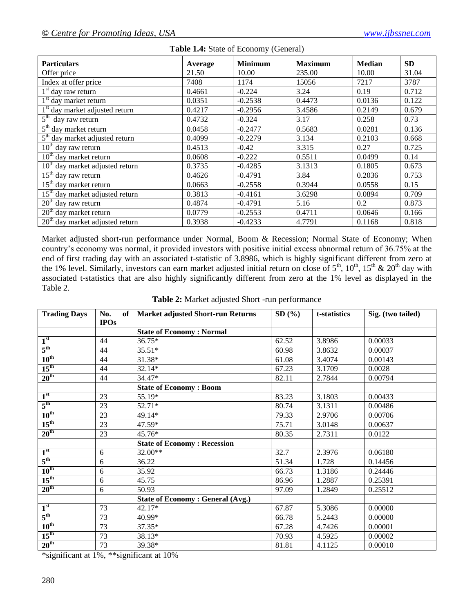| <b>Particulars</b>                         | Average | <b>Minimum</b> | <b>Maximum</b> | <b>Median</b> | <b>SD</b> |
|--------------------------------------------|---------|----------------|----------------|---------------|-----------|
| Offer price                                | 21.50   | 10.00          | 235.00         | 10.00         | 31.04     |
| Index at offer price                       | 7408    | 1174           | 15056          | 7217          | 3787      |
| $1st$ day raw return                       | 0.4661  | $-0.224$       | 3.24           | 0.19          | 0.712     |
| 1 <sup>st</sup> day market return          | 0.0351  | $-0.2538$      | 0.4473         | 0.0136        | 0.122     |
| 1 <sup>st</sup> day market adjusted return | 0.4217  | $-0.2956$      | 3.4586         | 0.2149        | 0.679     |
| $5^{\text{th}}$<br>day raw return          | 0.4732  | $-0.324$       | 3.17           | 0.258         | 0.73      |
| $5th$ day market return                    | 0.0458  | $-0.2477$      | 0.5683         | 0.0281        | 0.136     |
| $5th$ day market adjusted return           | 0.4099  | $-0.2279$      | 3.134          | 0.2103        | 0.668     |
| $10th$ day raw return                      | 0.4513  | $-0.42$        | 3.315          | 0.27          | 0.725     |
| $10th$ day market return                   | 0.0608  | $-0.222$       | 0.5511         | 0.0499        | 0.14      |
| $10th$ day market adjusted return          | 0.3735  | $-0.4285$      | 3.1313         | 0.1805        | 0.673     |
| $15th$ day raw return                      | 0.4626  | $-0.4791$      | 3.84           | 0.2036        | 0.753     |
| $15th$ day market return                   | 0.0663  | $-0.2558$      | 0.3944         | 0.0558        | 0.15      |
| $15th$ day market adjusted return          | 0.3813  | $-0.4161$      | 3.6298         | 0.0894        | 0.709     |
| $20th$ day raw return                      | 0.4874  | $-0.4791$      | 5.16           | 0.2           | 0.873     |
| $20th$ day market return                   | 0.0779  | $-0.2553$      | 0.4711         | 0.0646        | 0.166     |
| $20th$ day market adjusted return          | 0.3938  | $-0.4233$      | 4.7791         | 0.1168        | 0.818     |

#### **Table 1.4:** State of Economy (General)

Market adjusted short-run performance under Normal, Boom & Recession; Normal State of Economy; When country"s economy was normal, it provided investors with positive initial excess abnormal return of 36.75% at the end of first trading day with an associated t-statistic of 3.8986, which is highly significant different from zero at the 1% level. Similarly, investors can earn market adjusted initial return on close of  $5^{th}$ ,  $10^{th}$ ,  $15^{th}$  &  $20^{th}$  day with associated t-statistics that are also highly significantly different from zero at the 1% level as displayed in the Table 2.

| <b>Trading Days</b> | No.<br>of<br><b>IPOs</b> | <b>Market adjusted Short-run Returns</b> | SD(%) | t-statistics | Sig. (two tailed) |
|---------------------|--------------------------|------------------------------------------|-------|--------------|-------------------|
|                     |                          | <b>State of Economy: Normal</b>          |       |              |                   |
| 1 <sup>st</sup>     | 44                       | 36.75*                                   | 62.52 | 3.8986       | 0.00033           |
| $5^{\text{th}}$     | 44                       | $35.51*$                                 | 60.98 | 3.8632       | 0.00037           |
| $10^{\text{th}}$    | 44                       | 31.38*                                   | 61.08 | 3.4074       | 0.00143           |
| $15^{\text{th}}$    | 44                       | 32.14*                                   | 67.23 | 3.1709       | 0.0028            |
| $20^{\text{th}}$    | 44                       | 34.47*                                   | 82.11 | 2.7844       | 0.00794           |
|                     |                          | <b>State of Economy: Boom</b>            |       |              |                   |
| 1 <sup>st</sup>     | 23                       | 55.19*                                   | 83.23 | 3.1803       | 0.00433           |
| $5^{\text{th}}$     | 23                       | $52.71*$                                 | 80.74 | 3.1311       | 0.00486           |
| $10^{\text{th}}$    | 23                       | 49.14*                                   | 79.33 | 2.9706       | 0.00706           |
| $15^{\text{th}}$    | 23                       | 47.59*                                   | 75.71 | 3.0148       | 0.00637           |
| $20^{\text{th}}$    | 23                       | 45.76*                                   | 80.35 | 2.7311       | 0.0122            |
|                     |                          | <b>State of Economy: Recession</b>       |       |              |                   |
| 1 <sup>st</sup>     | 6                        | $32.00**$                                | 32.7  | 2.3976       | 0.06180           |
| $5^{\text{th}}$     | 6                        | 36.22                                    | 51.34 | 1.728        | 0.14456           |
| $10^{\text{th}}$    | 6                        | 35.92                                    | 66.73 | 1.3186       | 0.24446           |
| $15^{\text{th}}$    | 6                        | 45.75                                    | 86.96 | 1.2887       | 0.25391           |
| 20 <sup>th</sup>    | 6                        | 50.93                                    | 97.09 | 1.2849       | 0.25512           |
|                     |                          | <b>State of Economy: General (Avg.)</b>  |       |              |                   |
| 1 <sup>st</sup>     | 73                       | 42.17*                                   | 67.87 | 5.3086       | 0.00000           |
| $5^{\text{th}}$     | 73                       | $40.99*$                                 | 66.78 | 5.2443       | 0.00000           |
| $10^{\text{th}}$    | 73                       | 37.35*                                   | 67.28 | 4.7426       | 0.00001           |
| $15^{\text{th}}$    | 73                       | 38.13*                                   | 70.93 | 4.5925       | 0.00002           |
| 20 <sup>th</sup>    | 73                       | 39.38*                                   | 81.81 | 4.1125       | 0.00010           |

\*significant at 1%, \*\*significant at 10%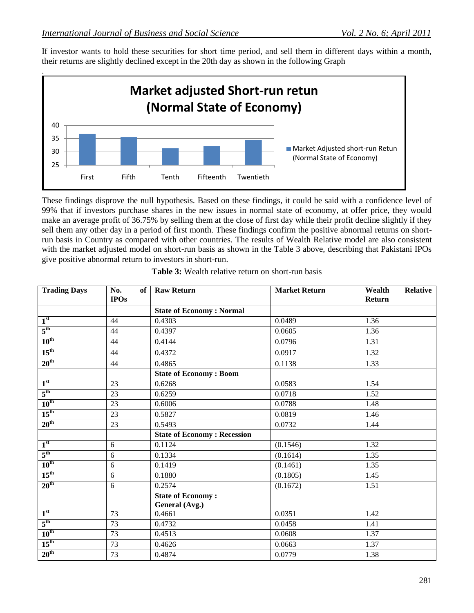If investor wants to hold these securities for short time period, and sell them in different days within a month, their returns are slightly declined except in the 20th day as shown in the following Graph



These findings disprove the null hypothesis. Based on these findings, it could be said with a confidence level of 99% that if investors purchase shares in the new issues in normal state of economy, at offer price, they would make an average profit of 36.75% by selling them at the close of first day while their profit decline slightly if they sell them any other day in a period of first month. These findings confirm the positive abnormal returns on shortrun basis in Country as compared with other countries. The results of Wealth Relative model are also consistent with the market adjusted model on short-run basis as shown in the Table 3 above, describing that Pakistani IPOs give positive abnormal return to investors in short-run.

| <b>Trading Days</b> | No.<br>of <sub>1</sub> | <b>Raw Return</b>                          | <b>Market Return</b> | Wealth<br><b>Relative</b> |
|---------------------|------------------------|--------------------------------------------|----------------------|---------------------------|
|                     | <b>IPOs</b>            |                                            |                      | Return                    |
|                     |                        | <b>State of Economy: Normal</b>            |                      |                           |
| 1 <sup>st</sup>     | 44                     | 0.4303                                     | 0.0489               | 1.36                      |
| $5^{\text{th}}$     | 44                     | 0.4397                                     | 0.0605               | 1.36                      |
| $10^{\text{th}}$    | 44                     | 0.4144                                     | 0.0796               | 1.31                      |
| $15^{\text{th}}$    | 44                     | 0.4372                                     | 0.0917               | 1.32                      |
| 20 <sup>th</sup>    | 44                     | 0.4865                                     | 0.1138               | 1.33                      |
|                     |                        | <b>State of Economy: Boom</b>              |                      |                           |
| 1 <sup>st</sup>     | 23                     | 0.6268                                     | 0.0583               | 1.54                      |
| $5^{\text{th}}$     | 23                     | 0.6259                                     | 0.0718               | 1.52                      |
| $10^{\text{th}}$    | 23                     | 0.6006                                     | 0.0788               | 1.48                      |
| $15^{\text{th}}$    | 23                     | 0.5827                                     | 0.0819               | 1.46                      |
| $20^{\text{th}}$    | 23                     | 0.5493                                     | 0.0732               | 1.44                      |
|                     |                        | <b>State of Economy: Recession</b>         |                      |                           |
| 1 <sup>st</sup>     | 6                      | 0.1124                                     | (0.1546)             | 1.32                      |
| $5^{\text{th}}$     | 6                      | 0.1334                                     | (0.1614)             | 1.35                      |
| $10^{\text{th}}$    | $\boldsymbol{6}$       | 0.1419                                     | (0.1461)             | 1.35                      |
| $15^{\text{th}}$    | $6\,$                  | 0.1880                                     | (0.1805)             | 1.45                      |
| 20 <sup>th</sup>    | 6                      | 0.2574                                     | (0.1672)             | 1.51                      |
|                     |                        | <b>State of Economy:</b><br>General (Avg.) |                      |                           |
| 1 <sup>st</sup>     | 73                     | 0.4661                                     | 0.0351               | 1.42                      |
| $5^{\text{th}}$     | 73                     | 0.4732                                     | 0.0458               | 1.41                      |
| $10^{\text{th}}$    | 73                     | 0.4513                                     | 0.0608               | 1.37                      |
| $15^{\text{th}}$    | 73                     | 0.4626                                     | 0.0663               | 1.37                      |
| 20 <sup>th</sup>    | 73                     | 0.4874                                     | 0.0779               | 1.38                      |

|  |  |  |  |  | <b>Table 3:</b> Wealth relative return on short-run basis |  |
|--|--|--|--|--|-----------------------------------------------------------|--|
|--|--|--|--|--|-----------------------------------------------------------|--|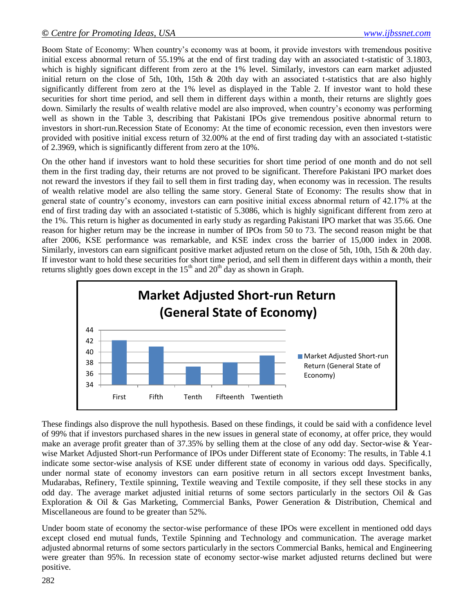Boom State of Economy: When country"s economy was at boom, it provide investors with tremendous positive initial excess abnormal return of 55.19% at the end of first trading day with an associated t-statistic of 3.1803, which is highly significant different from zero at the 1% level. Similarly, investors can earn market adjusted initial return on the close of 5th, 10th, 15th & 20th day with an associated t-statistics that are also highly significantly different from zero at the 1% level as displayed in the Table 2. If investor want to hold these securities for short time period, and sell them in different days within a month, their returns are slightly goes down. Similarly the results of wealth relative model are also improved, when country"s economy was performing well as shown in the Table 3, describing that Pakistani IPOs give tremendous positive abnormal return to investors in short-run.Recession State of Economy: At the time of economic recession, even then investors were provided with positive initial excess return of 32.00% at the end of first trading day with an associated t-statistic of 2.3969, which is significantly different from zero at the 10%.

On the other hand if investors want to hold these securities for short time period of one month and do not sell them in the first trading day, their returns are not proved to be significant. Therefore Pakistani IPO market does not reward the investors if they fail to sell them in first trading day, when economy was in recession. The results of wealth relative model are also telling the same story. General State of Economy: The results show that in general state of country"s economy, investors can earn positive initial excess abnormal return of 42.17% at the end of first trading day with an associated t-statistic of 5.3086, which is highly significant different from zero at the 1%. This return is higher as documented in early study as regarding Pakistani IPO market that was 35.66. One reason for higher return may be the increase in number of IPOs from 50 to 73. The second reason might be that after 2006, KSE performance was remarkable, and KSE index cross the barrier of 15,000 index in 2008. Similarly, investors can earn significant positive market adjusted return on the close of 5th, 10th, 15th & 20th day. If investor want to hold these securities for short time period, and sell them in different days within a month, their returns slightly goes down except in the  $15<sup>th</sup>$  and  $20<sup>th</sup>$  day as shown in Graph.



These findings also disprove the null hypothesis. Based on these findings, it could be said with a confidence level of 99% that if investors purchased shares in the new issues in general state of economy, at offer price, they would make an average profit greater than of 37.35% by selling them at the close of any odd day. Sector-wise & Yearwise Market Adjusted Short-run Performance of IPOs under Different state of Economy: The results, in Table 4.1 indicate some sector-wise analysis of KSE under different state of economy in various odd days. Specifically, under normal state of economy investors can earn positive return in all sectors except Investment banks, Mudarabas, Refinery, Textile spinning, Textile weaving and Textile composite, if they sell these stocks in any odd day. The average market adjusted initial returns of some sectors particularly in the sectors Oil & Gas Exploration & Oil & Gas Marketing, Commercial Banks, Power Generation & Distribution, Chemical and Miscellaneous are found to be greater than 52%.

Under boom state of economy the sector-wise performance of these IPOs were excellent in mentioned odd days except closed end mutual funds, Textile Spinning and Technology and communication. The average market adjusted abnormal returns of some sectors particularly in the sectors Commercial Banks, hemical and Engineering were greater than 95%. In recession state of economy sector-wise market adjusted returns declined but were positive.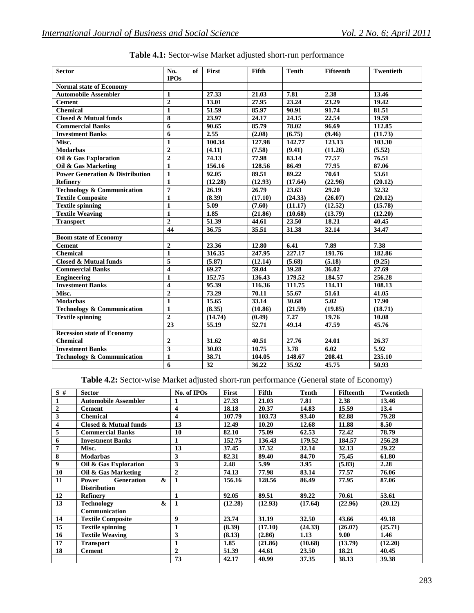| <b>Sector</b>                              | No.<br>of<br><b>IPOs</b> | First   | Fifth   | <b>Tenth</b> | <b>Fifteenth</b> | <b>Twentieth</b> |
|--------------------------------------------|--------------------------|---------|---------|--------------|------------------|------------------|
| <b>Normal state of Economy</b>             |                          |         |         |              |                  |                  |
| <b>Automobile Assembler</b>                | 1                        | 27.33   | 21.03   | 7.81         | 2.38             | 13.46            |
| <b>Cement</b>                              | $\overline{2}$           | 13.01   | 27.95   | 23.24        | 23.29            | 19.42            |
| <b>Chemical</b>                            | $\mathbf{1}$             | 51.59   | 85.97   | 90.91        | 91.74            | 81.51            |
| Closed & Mutual funds                      | 8                        | 23.97   | 24.17   | 24.15        | 22.54            | 19.59            |
| <b>Commercial Banks</b>                    | 6                        | 90.65   | 85.79   | 78.02        | 96.69            | 112.85           |
| <b>Investment Banks</b>                    | 6                        | 2.55    | (2.08)  | (6.75)       | (9.46)           | (11.73)          |
| Misc.                                      | $\mathbf{1}$             | 100.34  | 127.98  | 142.77       | 123.13           | 103.30           |
| <b>Modarbas</b>                            | $\overline{2}$           | (4.11)  | (7.58)  | (9.41)       | (11.26)          | (5.52)           |
| Oil & Gas Exploration                      | $\overline{2}$           | 74.13   | 77.98   | 83.14        | 77.57            | 76.51            |
| Oil & Gas Marketing                        | $\mathbf{1}$             | 156.16  | 128.56  | 86.49        | 77.95            | 87.06            |
| <b>Power Generation &amp; Distribution</b> | $\mathbf{1}$             | 92.05   | 89.51   | 89.22        | 70.61            | 53.61            |
| <b>Refinery</b>                            | $\mathbf{1}$             | (12.28) | (12.93) | (17.64)      | (22.96)          | (20.12)          |
| <b>Technology &amp; Communication</b>      | $\overline{7}$           | 26.19   | 26.79   | 23.63        | 29.20            | 32.32            |
| <b>Textile Composite</b>                   | $\mathbf{1}$             | (8.39)  | (17.10) | (24.33)      | (26.07)          | (20.12)          |
| <b>Textile spinning</b>                    | $\mathbf{1}$             | 5.09    | (7.60)  | (11.17)      | (12.52)          | (15.78)          |
| <b>Textile Weaving</b>                     | $\mathbf{1}$             | 1.85    | (21.86) | (10.68)      | (13.79)          | (12.20)          |
| <b>Transport</b>                           | $\overline{2}$           | 51.39   | 44.61   | 23.50        | 18.21            | 40.45            |
|                                            | 44                       | 36.75   | 35.51   | 31.38        | 32.14            | 34.47            |
| <b>Boom state of Economy</b>               |                          |         |         |              |                  |                  |
| <b>Cement</b>                              | $\overline{2}$           | 23.36   | 12.80   | 6.41         | 7.89             | 7.38             |
| <b>Chemical</b>                            | $\mathbf{1}$             | 316.35  | 247.95  | 227.17       | 191.76           | 182.86           |
| <b>Closed &amp; Mutual funds</b>           | 5                        | (5.87)  | (12.14) | (5.68)       | (5.18)           | (9.25)           |
| <b>Commercial Banks</b>                    | $\overline{\mathbf{4}}$  | 69.27   | 59.04   | 39.28        | 36.02            | 27.69            |
| <b>Engineering</b>                         | 1                        | 152.75  | 136.43  | 179.52       | 184.57           | 256.28           |
| <b>Investment Banks</b>                    | $\overline{\mathbf{4}}$  | 95.39   | 116.36  | 111.75       | 114.11           | 108.13           |
| Misc.                                      | $\overline{2}$           | 73.29   | 70.11   | 55.67        | 51.61            | 41.05            |
| <b>Modarbas</b>                            | $\mathbf{1}$             | 15.65   | 33.14   | 30.68        | 5.02             | 17.90            |
| <b>Technology &amp; Communication</b>      | $\mathbf{1}$             | (8.35)  | (10.86) | (21.59)      | (19.85)          | (18.71)          |
| <b>Textile spinning</b>                    | $\overline{2}$           | (14.74) | (0.49)  | 7.27         | 19.76            | 10.08            |
|                                            | 23                       | 55.19   | 52.71   | 49.14        | 47.59            | 45.76            |
| <b>Recession state of Economy</b>          |                          |         |         |              |                  |                  |
| <b>Chemical</b>                            | $\mathbf{2}$             | 31.62   | 40.51   | 27.76        | 24.01            | 26.37            |
| <b>Investment Banks</b>                    | 3                        | 30.03   | 10.75   | 3.78         | 6.02             | 5.92             |
| <b>Technology &amp; Communication</b>      | $\mathbf{1}$             | 38.71   | 104.05  | 148.67       | 208.41           | 235.10           |
|                                            | 6                        | 32      | 36.22   | 35.92        | 45.75            | 50.93            |

**Table 4.1:** Sector-wise Market adjusted short-run performance

**Table 4.2:** Sector-wise Market adjusted short-run performance (General state of Economy)

| S#           | <b>Sector</b>                                   | No. of IPOs             | First   | <b>Fifth</b> | <b>Tenth</b> | <b>Fifteenth</b> | <b>Twentieth</b> |
|--------------|-------------------------------------------------|-------------------------|---------|--------------|--------------|------------------|------------------|
| 1            | <b>Automobile Assembler</b>                     |                         | 27.33   | 21.03        | 7.81         | 2.38             | 13.46            |
| $\mathbf{2}$ | <b>Cement</b>                                   | 4                       | 18.18   | 20.37        | 14.83        | 15.59            | 13.4             |
| 3            | <b>Chemical</b>                                 | $\overline{\mathbf{4}}$ | 107.79  | 103.73       | 93.40        | 82.88            | 79.28            |
| 4            | <b>Closed &amp; Mutual funds</b>                | 13                      | 12.49   | 10.20        | 12.68        | 11.88            | 8.50             |
| 5            | <b>Commercial Banks</b>                         | 10                      | 82.10   | 75.09        | 62.53        | 72.42            | 78.79            |
| 6            | <b>Investment Banks</b>                         | 1                       | 152.75  | 136.43       | 179.52       | 184.57           | 256.28           |
| 7            | Misc.                                           | 13                      | 37.45   | 37.32        | 32.14        | 32.13            | 29.22            |
| 8            | <b>Modarbas</b>                                 | 3                       | 82.31   | 89.40        | 84.70        | 75,45            | 61.80            |
| 9            | Oil & Gas Exploration                           | 3                       | 2.48    | 5.99         | 3.95         | (5.83)           | 2.28             |
| 10           | Oil & Gas Marketing                             | $\overline{2}$          | 74.13   | 77.98        | 83.14        | 77.57            | 76.06            |
| 11           | $\mathbf{\alpha}$<br><b>Generation</b><br>Power | $\mathbf{1}$            | 156.16  | 128.56       | 86.49        | 77.95            | 87.06            |
|              | <b>Distribution</b>                             |                         |         |              |              |                  |                  |
| 12           | <b>Refinery</b>                                 | 1                       | 92.05   | 89.51        | 89.22        | 70.61            | 53.61            |
| 13           | $\boldsymbol{\&}$<br><b>Technology</b>          | $\mathbf{1}$            | (12.28) | (12.93)      | (17.64)      | (22.96)          | (20.12)          |
|              | Communication                                   |                         |         |              |              |                  |                  |
| 14           | <b>Textile Composite</b>                        | 9                       | 23.74   | 31.19        | 32.50        | 43.66            | 49.18            |
| 15           | <b>Textile spinning</b>                         | 1                       | (8.39)  | (17.10)      | (24.33)      | (26.07)          | (25.71)          |
| 16           | <b>Textile Weaving</b>                          | 3                       | (8.13)  | (2.86)       | 1.13         | 9.00             | 1.46             |
| 17           | <b>Transport</b>                                | 1                       | 1.85    | (21.86)      | (10.68)      | (13.79)          | (12.20)          |
| 18           | <b>Cement</b>                                   | $\overline{2}$          | 51.39   | 44.61        | 23.50        | 18.21            | 40.45            |
|              |                                                 | 73                      | 42.17   | 40.99        | 37.35        | 38.13            | 39.38            |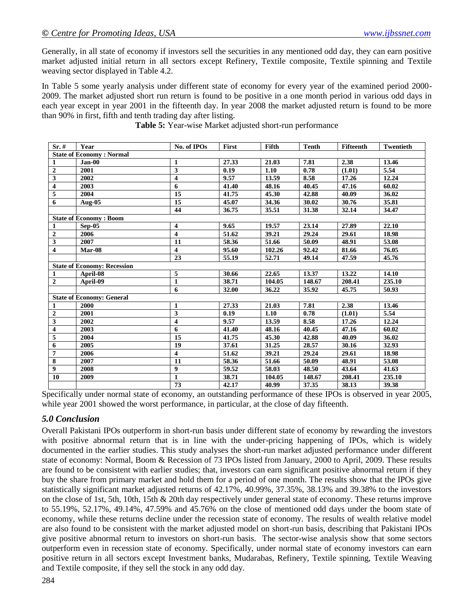Generally, in all state of economy if investors sell the securities in any mentioned odd day, they can earn positive market adjusted initial return in all sectors except Refinery, Textile composite, Textile spinning and Textile weaving sector displayed in Table 4.2.

In Table 5 some yearly analysis under different state of economy for every year of the examined period 2000- 2009. The market adjusted short run return is found to be positive in a one month period in various odd days in each year except in year 2001 in the fifteenth day. In year 2008 the market adjusted return is found to be more than 90% in first, fifth and tenth trading day after listing.

| $Sr.$ #                         | Year                               | No. of IPOs             | First | Fifth  | <b>Tenth</b> | Fifteenth | Twentieth |  |  |
|---------------------------------|------------------------------------|-------------------------|-------|--------|--------------|-----------|-----------|--|--|
| <b>State of Economy: Normal</b> |                                    |                         |       |        |              |           |           |  |  |
| 1                               | $Jan-00$                           | 1                       | 27.33 | 21.03  | 7.81         | 2.38      | 13.46     |  |  |
| $\overline{2}$                  | 2001                               | 3                       | 0.19  | 1.10   | 0.78         | (1.01)    | 5.54      |  |  |
| $\overline{\mathbf{3}}$         | 2002                               | $\overline{\mathbf{4}}$ | 9.57  | 13.59  | 8.58         | 17.26     | 12.24     |  |  |
| $\overline{\mathbf{4}}$         | 2003                               | 6                       | 41.40 | 48.16  | 40.45        | 47.16     | 60.02     |  |  |
| 5                               | 2004                               | 15                      | 41.75 | 45.30  | 42.88        | 40.09     | 36.02     |  |  |
| $\overline{6}$                  | Aug-05                             | 15                      | 45.07 | 34.36  | 30.02        | 30.76     | 35.81     |  |  |
|                                 |                                    | 44                      | 36.75 | 35.51  | 31.38        | 32.14     | 34.47     |  |  |
|                                 | <b>State of Economy: Boom</b>      |                         |       |        |              |           |           |  |  |
| $\mathbf{1}$                    | $Sep-05$                           | 4                       | 9.65  | 19.57  | 23.14        | 27.89     | 22.10     |  |  |
| $\overline{2}$                  | 2006                               | $\overline{\mathbf{4}}$ | 51.62 | 39.21  | 29.24        | 29.61     | 18.98     |  |  |
| $\overline{\mathbf{3}}$         | 2007                               | 11                      | 58.36 | 51.66  | 50.09        | 48.91     | 53.08     |  |  |
| $\overline{\mathbf{4}}$         | Mar-08                             | $\overline{\mathbf{4}}$ | 95.60 | 102.26 | 92.42        | 81.66     | 76.05     |  |  |
|                                 |                                    | 23                      | 55.19 | 52.71  | 49.14        | 47.59     | 45.76     |  |  |
|                                 | <b>State of Economy: Recession</b> |                         |       |        |              |           |           |  |  |
| $\mathbf{1}$                    | April-08                           | 5                       | 30.66 | 22.65  | 13.37        | 13.22     | 14.10     |  |  |
| $\boldsymbol{2}$                | April-09                           | $\mathbf{1}$            | 38.71 | 104.05 | 148.67       | 208.41    | 235.10    |  |  |
|                                 |                                    | 6                       | 32.00 | 36.22  | 35.92        | 45.75     | 50.93     |  |  |
|                                 | <b>State of Economy: General</b>   |                         |       |        |              |           |           |  |  |
| $\mathbf{1}$                    | 2000                               | $\mathbf{1}$            | 27.33 | 21.03  | 7.81         | 2.38      | 13.46     |  |  |
| $\overline{2}$                  | 2001                               | 3                       | 0.19  | 1.10   | 0.78         | (1.01)    | 5.54      |  |  |
| $\overline{\mathbf{3}}$         | 2002                               | 4                       | 9.57  | 13.59  | 8.58         | 17.26     | 12.24     |  |  |
| $\overline{\mathbf{4}}$         | 2003                               | 6                       | 41.40 | 48.16  | 40.45        | 47.16     | 60.02     |  |  |
| $\overline{\mathbf{5}}$         | 2004                               | 15                      | 41.75 | 45.30  | 42.88        | 40.09     | 36.02     |  |  |
| 6                               | 2005                               | 19                      | 37.61 | 31.25  | 28.57        | 30.16     | 32.93     |  |  |
| $\overline{7}$                  | 2006                               | $\overline{\mathbf{4}}$ | 51.62 | 39.21  | 29.24        | 29.61     | 18.98     |  |  |
| $\overline{\bf 8}$              | 2007                               | 11                      | 58.36 | 51.66  | 50.09        | 48.91     | 53.08     |  |  |
| $\overline{9}$                  | 2008                               | 9                       | 59.52 | 58.03  | 48.50        | 43.64     | 41.63     |  |  |
| 10                              | 2009                               | 1                       | 38.71 | 104.05 | 148.67       | 208.41    | 235.10    |  |  |
|                                 |                                    | 73                      | 42.17 | 40.99  | 37.35        | 38.13     | 39.38     |  |  |

**Table 5:** Year-wise Market adjusted short-run performance

Specifically under normal state of economy, an outstanding performance of these IPOs is observed in year 2005, while year 2001 showed the worst performance, in particular, at the close of day fifteenth.

## *5.0 Conclusion*

Overall Pakistani IPOs outperform in short-run basis under different state of economy by rewarding the investors with positive abnormal return that is in line with the under-pricing happening of IPOs, which is widely documented in the earlier studies. This study analyses the short-run market adjusted performance under different state of economy: Normal, Boom & Recession of 73 IPOs listed from January, 2000 to April, 2009. These results are found to be consistent with earlier studies; that, investors can earn significant positive abnormal return if they buy the share from primary market and hold them for a period of one month. The results show that the IPOs give statistically significant market adjusted returns of 42.17%, 40.99%, 37.35%, 38.13% and 39.38% to the investors on the close of 1st, 5th, 10th, 15th & 20th day respectively under general state of economy. These returns improve to 55.19%, 52.17%, 49.14%, 47.59% and 45.76% on the close of mentioned odd days under the boom state of economy, while these returns decline under the recession state of economy. The results of wealth relative model are also found to be consistent with the market adjusted model on short-run basis, describing that Pakistani IPOs give positive abnormal return to investors on short-run basis. The sector-wise analysis show that some sectors outperform even in recession state of economy. Specifically, under normal state of economy investors can earn positive return in all sectors except Investment banks, Mudarabas, Refinery, Textile spinning, Textile Weaving and Textile composite, if they sell the stock in any odd day.